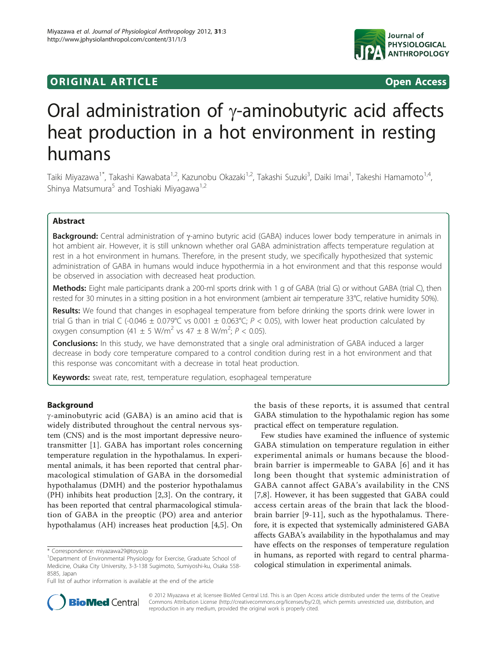## original and the open Access of the Open Access of the Open Access of the Open Access of the Open Access of the Open Access of the Open Access of the Open Access of the Open Access of the Open Access of the Open Access of



# Oral administration of  $\gamma$ -aminobutyric acid affects heat production in a hot environment in resting humans

Taiki Miyazawa<sup>1\*</sup>, Takashi Kawabata<sup>1,2</sup>, Kazunobu Okazaki<sup>1,2</sup>, Takashi Suzuki<sup>3</sup>, Daiki Imai<sup>1</sup>, Takeshi Hamamoto<sup>1,4</sup>, Shinya Matsumura<sup>5</sup> and Toshiaki Miyagawa<sup>1,2</sup>

## Abstract

**Background:** Central administration of  $\gamma$ -amino butyric acid (GABA) induces lower body temperature in animals in hot ambient air. However, it is still unknown whether oral GABA administration affects temperature regulation at rest in a hot environment in humans. Therefore, in the present study, we specifically hypothesized that systemic administration of GABA in humans would induce hypothermia in a hot environment and that this response would be observed in association with decreased heat production.

Methods: Eight male participants drank a 200-ml sports drink with 1 g of GABA (trial G) or without GABA (trial C), then rested for 30 minutes in a sitting position in a hot environment (ambient air temperature 33°C, relative humidity 50%).

Results: We found that changes in esophageal temperature from before drinking the sports drink were lower in trial G than in trial C (-0.046  $\pm$  0.079°C vs 0.001  $\pm$  0.063°C; P < 0.05), with lower heat production calculated by oxygen consumption (41  $\pm$  5 W/m<sup>2</sup> vs 47  $\pm$  8 W/m<sup>2</sup>; P < 0.05).

**Conclusions:** In this study, we have demonstrated that a single oral administration of GABA induced a larger decrease in body core temperature compared to a control condition during rest in a hot environment and that this response was concomitant with a decrease in total heat production.

Keywords: sweat rate, rest, temperature regulation, esophageal temperature

## Background

 $\gamma$ -aminobutyric acid (GABA) is an amino acid that is widely distributed throughout the central nervous system (CNS) and is the most important depressive neurotransmitter [[1](#page-6-0)]. GABA has important roles concerning temperature regulation in the hypothalamus. In experimental animals, it has been reported that central pharmacological stimulation of GABA in the dorsomedial hypothalamus (DMH) and the posterior hypothalamus (PH) inhibits heat production [[2,3](#page-6-0)]. On the contrary, it has been reported that central pharmacological stimulation of GABA in the preoptic (PO) area and anterior hypothalamus (AH) increases heat production [\[4](#page-6-0),[5\]](#page-6-0). On the basis of these reports, it is assumed that central GABA stimulation to the hypothalamic region has some practical effect on temperature regulation.

Few studies have examined the influence of systemic GABA stimulation on temperature regulation in either experimental animals or humans because the bloodbrain barrier is impermeable to GABA [[6\]](#page-6-0) and it has long been thought that systemic administration of GABA cannot affect GABA's availability in the CNS [[7,8](#page-6-0)]. However, it has been suggested that GABA could access certain areas of the brain that lack the bloodbrain barrier [\[9-11](#page-6-0)], such as the hypothalamus. Therefore, it is expected that systemically administered GABA affects GABA's availability in the hypothalamus and may have effects on the responses of temperature regulation in humans, as reported with regard to central pharmacological stimulation in experimental animals.



© 2012 Miyazawa et al; licensee BioMed Central Ltd. This is an Open Access article distributed under the terms of the Creative Commons Attribution License [\(http://creativecommons.org/licenses/by/2.0](http://creativecommons.org/licenses/by/2.0)), which permits unrestricted use, distribution, and reproduction in any medium, provided the original work is properly cited.

<sup>\*</sup> Correspondence: [miyazawa29@toyo.jp](mailto:miyazawa29@toyo.jp)

<sup>&</sup>lt;sup>1</sup>Department of Environmental Physiology for Exercise, Graduate School of Medicine, Osaka City University, 3-3-138 Sugimoto, Sumiyoshi-ku, Osaka 558- 8585, Japan

Full list of author information is available at the end of the article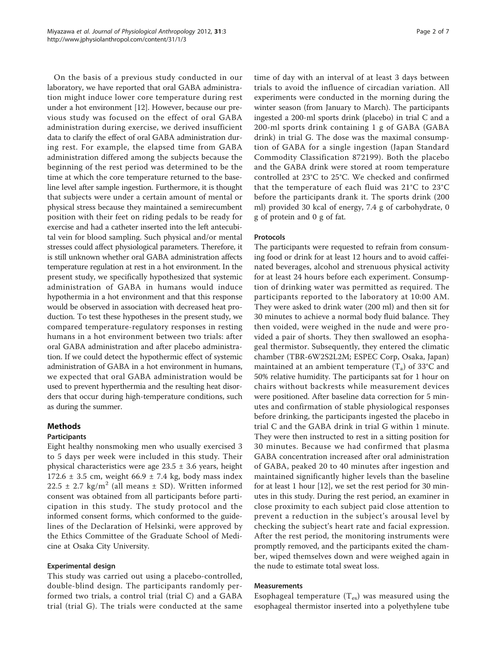On the basis of a previous study conducted in our laboratory, we have reported that oral GABA administration might induce lower core temperature during rest under a hot environment [\[12\]](#page-6-0). However, because our previous study was focused on the effect of oral GABA administration during exercise, we derived insufficient data to clarify the effect of oral GABA administration during rest. For example, the elapsed time from GABA administration differed among the subjects because the beginning of the rest period was determined to be the time at which the core temperature returned to the baseline level after sample ingestion. Furthermore, it is thought that subjects were under a certain amount of mental or physical stress because they maintained a semirecumbent position with their feet on riding pedals to be ready for exercise and had a catheter inserted into the left antecubital vein for blood sampling. Such physical and/or mental stresses could affect physiological parameters. Therefore, it is still unknown whether oral GABA administration affects temperature regulation at rest in a hot environment. In the present study, we specifically hypothesized that systemic administration of GABA in humans would induce hypothermia in a hot environment and that this response would be observed in association with decreased heat production. To test these hypotheses in the present study, we compared temperature-regulatory responses in resting humans in a hot environment between two trials: after oral GABA administration and after placebo administration. If we could detect the hypothermic effect of systemic administration of GABA in a hot environment in humans, we expected that oral GABA administration would be used to prevent hyperthermia and the resulting heat disorders that occur during high-temperature conditions, such as during the summer.

## Methods

#### Participants

Eight healthy nonsmoking men who usually exercised 3 to 5 days per week were included in this study. Their physical characteristics were age  $23.5 \pm 3.6$  years, height 172.6  $\pm$  3.5 cm, weight 66.9  $\pm$  7.4 kg, body mass index  $22.5 \pm 2.7$  kg/m<sup>2</sup> (all means  $\pm$  SD). Written informed consent was obtained from all participants before participation in this study. The study protocol and the informed consent forms, which conformed to the guidelines of the Declaration of Helsinki, were approved by the Ethics Committee of the Graduate School of Medicine at Osaka City University.

## Experimental design

This study was carried out using a placebo-controlled, double-blind design. The participants randomly performed two trials, a control trial (trial C) and a GABA trial (trial G). The trials were conducted at the same

time of day with an interval of at least 3 days between trials to avoid the influence of circadian variation. All experiments were conducted in the morning during the winter season (from January to March). The participants ingested a 200-ml sports drink (placebo) in trial C and a 200-ml sports drink containing 1 g of GABA (GABA drink) in trial G. The dose was the maximal consumption of GABA for a single ingestion (Japan Standard Commodity Classification 872199). Both the placebo and the GABA drink were stored at room temperature controlled at 23°C to 25°C. We checked and confirmed that the temperature of each fluid was 21°C to 23°C before the participants drank it. The sports drink (200 ml) provided 30 kcal of energy, 7.4 g of carbohydrate, 0 g of protein and 0 g of fat.

### Protocols

The participants were requested to refrain from consuming food or drink for at least 12 hours and to avoid caffeinated beverages, alcohol and strenuous physical activity for at least 24 hours before each experiment. Consumption of drinking water was permitted as required. The participants reported to the laboratory at 10:00 AM. They were asked to drink water (200 ml) and then sit for 30 minutes to achieve a normal body fluid balance. They then voided, were weighed in the nude and were provided a pair of shorts. They then swallowed an esophageal thermistor. Subsequently, they entered the climatic chamber (TBR-6W2S2L2M; ESPEC Corp, Osaka, Japan) maintained at an ambient temperature  $(T_a)$  of 33°C and 50% relative humidity. The participants sat for 1 hour on chairs without backrests while measurement devices were positioned. After baseline data correction for 5 minutes and confirmation of stable physiological responses before drinking, the participants ingested the placebo in trial C and the GABA drink in trial G within 1 minute. They were then instructed to rest in a sitting position for 30 minutes. Because we had confirmed that plasma GABA concentration increased after oral administration of GABA, peaked 20 to 40 minutes after ingestion and maintained significantly higher levels than the baseline for at least 1 hour [[12](#page-6-0)], we set the rest period for 30 minutes in this study. During the rest period, an examiner in close proximity to each subject paid close attention to prevent a reduction in the subject's arousal level by checking the subject's heart rate and facial expression. After the rest period, the monitoring instruments were promptly removed, and the participants exited the chamber, wiped themselves down and were weighed again in the nude to estimate total sweat loss.

#### Measurements

Esophageal temperature  $(T_{es})$  was measured using the esophageal thermistor inserted into a polyethylene tube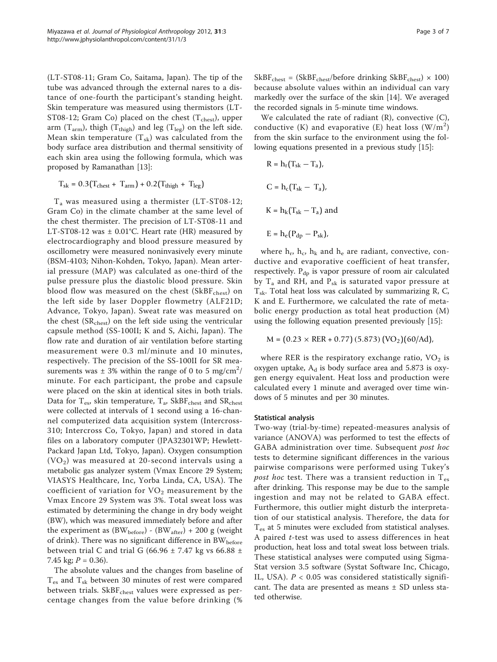(LT-ST08-11; Gram Co, Saitama, Japan). The tip of the tube was advanced through the external nares to a distance of one-fourth the participant's standing height. Skin temperature was measured using thermistors (LT-ST08-12; Gram Co) placed on the chest  $(T_{\text{check}})$ , upper arm (T<sub>arm</sub>), thigh (T<sub>thigh</sub>) and leg (T<sub>leg</sub>) on the left side. Mean skin temperature  $(T_{sk})$  was calculated from the body surface area distribution and thermal sensitivity of each skin area using the following formula, which was proposed by Ramanathan [\[13](#page-6-0)]:

$$
T_{sk} = 0.3(T_{\text{check}} + T_{\text{arm}}) + 0.2(T_{\text{thigh}} + T_{\text{leg}})
$$

Ta was measured using a thermister (LT-ST08-12; Gram Co) in the climate chamber at the same level of the chest thermister. The precision of LT-ST08-11 and LT-ST08-12 was  $\pm$  0.01°C. Heart rate (HR) measured by electrocardiography and blood pressure measured by oscillometry were measured noninvasively every minute (BSM-4103; Nihon-Kohden, Tokyo, Japan). Mean arterial pressure (MAP) was calculated as one-third of the pulse pressure plus the diastolic blood pressure. Skin blood flow was measured on the chest ( $\text{SkBF}_{\text{chest}}$ ) on the left side by laser Doppler flowmetry (ALF21D; Advance, Tokyo, Japan). Sweat rate was measured on the chest  $(SR_{\text{check}})$  on the left side using the ventricular capsule method (SS-100ΙΙ; K and S, Aichi, Japan). The flow rate and duration of air ventilation before starting measurement were 0.3 ml/minute and 10 minutes, respectively. The precision of the SS-100ΙΙ for SR measurements was  $\pm$  3% within the range of 0 to 5 mg/cm<sup>2</sup>/ minute. For each participant, the probe and capsule were placed on the skin at identical sites in both trials. Data for  $T_{es}$ , skin temperature,  $T_a$ , SkBF<sub>chest</sub> and SR<sub>chest</sub> were collected at intervals of 1 second using a 16-channel computerized data acquisition system (Intercross-310; Intercross Co, Tokyo, Japan) and stored in data files on a laboratory computer (JPA32301WP; Hewlett-Packard Japan Ltd, Tokyo, Japan). Oxygen consumption  $(VO<sub>2</sub>)$  was measured at 20-second intervals using a metabolic gas analyzer system (Vmax Encore 29 System; VIASYS Healthcare, Inc, Yorba Linda, CA, USA). The coefficient of variation for  $VO<sub>2</sub>$  measurement by the Vmax Encore 29 System was 3%. Total sweat loss was estimated by determining the change in dry body weight (BW), which was measured immediately before and after the experiment as  $(BW_{before}) - (BW_{after}) + 200$  g (weight of drink). There was no significant difference in BW<sub>before</sub> between trial C and trial G (66.96  $\pm$  7.47 kg vs 66.88  $\pm$ 7.45 kg;  $P = 0.36$ ).

The absolute values and the changes from baseline of  $T_{es}$  and  $T_{sk}$  between 30 minutes of rest were compared between trials. SkBF<sub>chest</sub> values were expressed as percentage changes from the value before drinking (%  $SkBF_{\text{check}} = (SkBF_{\text{check}}/before\,drinking\,SkBF_{\text{check}}) \times 100$ because absolute values within an individual can vary markedly over the surface of the skin [[14](#page-6-0)]. We averaged the recorded signals in 5-minute time windows.

We calculated the rate of radiant (R), convective (C), conductive (K) and evaporative (E) heat loss  $(W/m^2)$ from the skin surface to the environment using the following equations presented in a previous study [[15](#page-6-0)]:

$$
R = h_{r}(T_{sk} - T_{a}),
$$
  
\n
$$
C = h_{c}(T_{sk} - T_{a}),
$$
  
\n
$$
K = h_{k}(T_{sk} - T_{a})
$$
 and  
\n
$$
E = h_{e}(P_{dp} - P_{sk}),
$$

where  $h_r$ ,  $h_c$ ,  $h_k$  and  $h_e$  are radiant, convective, conductive and evaporative coefficient of heat transfer, respectively.  $P_{dp}$  is vapor pressure of room air calculated by  $T_a$  and RH, and  $P_{sk}$  is saturated vapor pressure at  $T_{sk}$ . Total heat loss was calculated by summarizing R, C, K and E. Furthermore, we calculated the rate of metabolic energy production as total heat production (M) using the following equation presented previously [[15](#page-6-0)]:

$$
M = (0.23 \times RER + 0.77) (5.873) (VO2)(60/Ad),
$$

where RER is the respiratory exchange ratio,  $VO<sub>2</sub>$  is oxygen uptake,  $A_d$  is body surface area and 5.873 is oxygen energy equivalent. Heat loss and production were calculated every 1 minute and averaged over time windows of 5 minutes and per 30 minutes.

#### Statistical analysis

Two-way (trial-by-time) repeated-measures analysis of variance (ANOVA) was performed to test the effects of GABA administration over time. Subsequent post hoc tests to determine significant differences in the various pairwise comparisons were performed using Tukey's *post hoc* test. There was a transient reduction in  $T_{es}$ after drinking. This response may be due to the sample ingestion and may not be related to GABA effect. Furthermore, this outlier might disturb the interpretation of our statistical analysis. Therefore, the data for Tes at 5 minutes were excluded from statistical analyses. A paired t-test was used to assess differences in heat production, heat loss and total sweat loss between trials. These statistical analyses were computed using Sigma-Stat version 3.5 software (Systat Software Inc, Chicago, IL, USA).  $P < 0.05$  was considered statistically significant. The data are presented as means ± SD unless stated otherwise.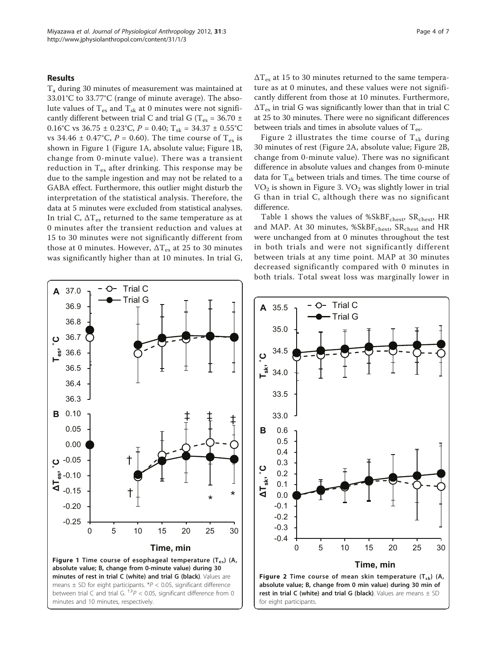#### <span id="page-3-0"></span>Results

Ta during 30 minutes of measurement was maintained at 33.01°C to 33.77°C (range of minute average). The absolute values of  $T_{es}$  and  $T_{sk}$  at 0 minutes were not significantly different between trial C and trial G ( $T_{es}$  = 36.70  $\pm$ 0.16°C vs 36.75 ± 0.23°C,  $P = 0.40$ ; T<sub>sk</sub> = 34.37 ± 0.55°C vs 34.46  $\pm$  0.47°C, P = 0.60). The time course of T<sub>es</sub> is shown in Figure 1 (Figure 1A, absolute value; Figure 1B, change from 0-minute value). There was a transient reduction in T<sub>es</sub> after drinking. This response may be due to the sample ingestion and may not be related to a GABA effect. Furthermore, this outlier might disturb the interpretation of the statistical analysis. Therefore, the data at 5 minutes were excluded from statistical analyses. In trial C,  $\Delta T_{es}$  returned to the same temperature as at 0 minutes after the transient reduction and values at 15 to 30 minutes were not significantly different from those at 0 minutes. However,  $\Delta T_{es}$  at 25 to 30 minutes was significantly higher than at 10 minutes. In trial G,

 $\Delta T_{\text{es}}$  at 15 to 30 minutes returned to the same temperature as at 0 minutes, and these values were not significantly different from those at 10 minutes. Furthermore,  $\Delta T_{\rm es}$  in trial G was significantly lower than that in trial C at 25 to 30 minutes. There were no significant differences between trials and times in absolute values of  $T_{es}$ .

Figure 2 illustrates the time course of  $T_{sk}$  during 30 minutes of rest (Figure 2A, absolute value; Figure 2B, change from 0-minute value). There was no significant difference in absolute values and changes from 0-minute data for  $T_{sk}$  between trials and times. The time course of  $VO<sub>2</sub>$  is shown in Figure [3](#page-4-0).  $VO<sub>2</sub>$  was slightly lower in trial G than in trial C, although there was no significant difference.

Table [1](#page-4-0) shows the values of %SkBF $_{\text{check}}$ , SR $_{\text{check}}$ , HR and MAP. At 30 minutes, %SkBF<sub>chest</sub>, SR<sub>chest</sub> and HR were unchanged from at 0 minutes throughout the test in both trials and were not significantly different between trials at any time point. MAP at 30 minutes decreased significantly compared with 0 minutes in both trials. Total sweat loss was marginally lower in





for eight participants.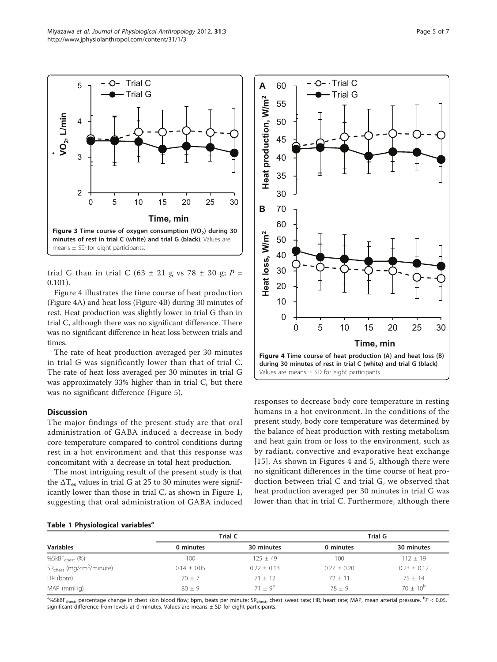<span id="page-4-0"></span>

trial G than in trial C (63  $\pm$  21 g vs 78  $\pm$  30 g; P = 0.101).

Figure 4 illustrates the time course of heat production (Figure 4A) and heat loss (Figure 4B) during 30 minutes of rest. Heat production was slightly lower in trial G than in trial C, although there was no significant difference. There was no significant difference in heat loss between trials and times.

The rate of heat production averaged per 30 minutes in trial G was significantly lower than that of trial C. The rate of heat loss averaged per 30 minutes in trial G was approximately 33% higher than in trial C, but there was no significant difference (Figure [5\)](#page-5-0).

#### **Discussion**

The major findings of the present study are that oral administration of GABA induced a decrease in body core temperature compared to control conditions during rest in a hot environment and that this response was concomitant with a decrease in total heat production.

The most intriguing result of the present study is that the  $\Delta T_{\rm es}$  values in trial G at 25 to 30 minutes were significantly lower than those in trial C, as shown in Figure [1](#page-3-0), suggesting that oral administration of GABA induced



responses to decrease body core temperature in resting humans in a hot environment. In the conditions of the present study, body core temperature was determined by the balance of heat production with resting metabolism and heat gain from or loss to the environment, such as by radiant, convective and evaporative heat exchange [[15](#page-6-0)]. As shown in Figures 4 and [5](#page-5-0), although there were no significant differences in the time course of heat production between trial C and trial G, we observed that heat production averaged per 30 minutes in trial G was lower than that in trial C. Furthermore, although there

## Table 1 Physiological variables<sup>a</sup>

| <b>Variables</b>                       | Trial C         |                 | <b>Trial G</b>  |               |
|----------------------------------------|-----------------|-----------------|-----------------|---------------|
|                                        | 0 minutes       | 30 minutes      | 0 minutes       | 30 minutes    |
| %SkB $F_{\text{check}}$ (%)            | 100             | $125 + 49$      | 100             | $112 \pm 19$  |
| $SRchest$ (mg/cm <sup>2</sup> /minute) | $0.14 \pm 0.05$ | $0.22 \pm 0.13$ | $0.27 \pm 0.20$ | $0.23 + 0.12$ |
| HR (bpm)                               | $70 + 7$        | $71 + 12$       | $72 + 11$       | $75 + 14$     |
| MAP (mmHg)                             | $80 + 9$        | $71 + 9^b$      | $78 + 9$        | $70 + 10^{b}$ |

<sup>a</sup>%SkBF<sub>chest</sub>, percentage change in chest skin blood flow; bpm, beats per minute; SR<sub>chest</sub>, chest sweat rate; HR, heart rate; MAP, mean arterial pressure. <sup>b</sup>P < 0.05,<br>significant difference from levels at 0 minutes. Va significant difference from levels at 0 minutes. Values are means  $\pm$  SD for eight participants.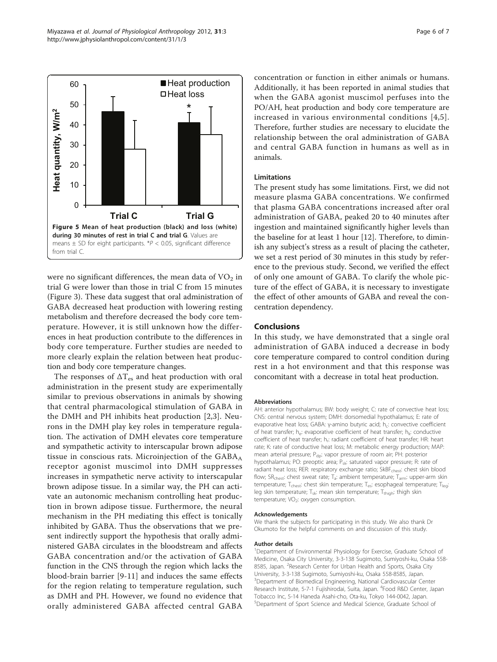<span id="page-5-0"></span>

were no significant differences, the mean data of  $VO<sub>2</sub>$  in trial G were lower than those in trial C from 15 minutes (Figure [3\)](#page-4-0). These data suggest that oral administration of GABA decreased heat production with lowering resting metabolism and therefore decreased the body core temperature. However, it is still unknown how the differences in heat production contribute to the differences in body core temperature. Further studies are needed to more clearly explain the relation between heat production and body core temperature changes.

The responses of  $\Delta T_{\text{es}}$  and heat production with oral administration in the present study are experimentally similar to previous observations in animals by showing that central pharmacological stimulation of GABA in the DMH and PH inhibits heat production [[2,3](#page-6-0)]. Neurons in the DMH play key roles in temperature regulation. The activation of DMH elevates core temperature and sympathetic activity to interscapular brown adipose tissue in conscious rats. Microinjection of the  $GABA_A$ receptor agonist muscimol into DMH suppresses increases in sympathetic nerve activity to interscapular brown adipose tissue. In a similar way, the PH can activate an autonomic mechanism controlling heat production in brown adipose tissue. Furthermore, the neural mechanism in the PH mediating this effect is tonically inhibited by GABA. Thus the observations that we present indirectly support the hypothesis that orally administered GABA circulates in the bloodstream and affects GABA concentration and/or the activation of GABA function in the CNS through the region which lacks the blood-brain barrier [[9-11\]](#page-6-0) and induces the same effects for the region relating to temperature regulation, such as DMH and PH. However, we found no evidence that orally administered GABA affected central GABA

concentration or function in either animals or humans. Additionally, it has been reported in animal studies that when the GABA agonist muscimol perfuses into the PO/AH, heat production and body core temperature are increased in various environmental conditions [[4,5\]](#page-6-0). Therefore, further studies are necessary to elucidate the relationship between the oral administration of GABA and central GABA function in humans as well as in animals.

#### Limitations

The present study has some limitations. First, we did not measure plasma GABA concentrations. We confirmed that plasma GABA concentrations increased after oral administration of GABA, peaked 20 to 40 minutes after ingestion and maintained significantly higher levels than the baseline for at least 1 hour [[12\]](#page-6-0). Therefore, to diminish any subject's stress as a result of placing the catheter, we set a rest period of 30 minutes in this study by reference to the previous study. Second, we verified the effect of only one amount of GABA. To clarify the whole picture of the effect of GABA, it is necessary to investigate the effect of other amounts of GABA and reveal the concentration dependency.

#### Conclusions

In this study, we have demonstrated that a single oral administration of GABA induced a decrease in body core temperature compared to control condition during rest in a hot environment and that this response was concomitant with a decrease in total heat production.

#### Abbreviations

AH: anterior hypothalamus; BW: body weight; C: rate of convective heat loss; CNS: central nervous system; DMH: dorsomedial hypothalamus; E: rate of evaporative heat loss; GABA: γ-amino butyric acid; h<sub>c</sub>: convective coefficient of heat transfer;  $h_{\rho}$ : evaporative coefficient of heat transfer;  $h_{k}$ : conductive coefficient of heat transfer; h,: radiant coefficient of heat transfer; HR: heart rate; K: rate of conductive heat loss; M: metabolic energy production; MAP: mean arterial pressure; Pdp: vapor pressure of room air; PH: posterior hypothalamus; PO: preoptic area; P<sub>sk</sub>: saturated vapor pressure; R: rate of radiant heat loss; RER: respiratory exchange ratio; SkBF<sub>chest</sub>: chest skin blood flow; SR<sub>chest</sub>: chest sweat rate; T<sub>a</sub>: ambient temperature; T<sub>arm</sub>: upper-arm skin temperature; T<sub>chest</sub>: chest skin temperature; T<sub>es</sub>: esophageal temperature; T<sub>leg</sub>: leg skin temperature; T<sub>sk</sub>: mean skin temperature; T<sub>thigh</sub>: thigh skin temperature; VO<sub>2</sub>: oxygen consumption.

#### Acknowledgements

We thank the subjects for participating in this study. We also thank Dr Okumoto for the helpful comments on and discussion of this study.

#### Author details

<sup>1</sup>Department of Environmental Physiology for Exercise, Graduate School of Medicine, Osaka City University, 3-3-138 Sugimoto, Sumiyoshi-ku, Osaka 558- 8585, Japan. <sup>2</sup>Research Center for Urban Health and Sports, Osaka City University, 3-3-138 Sugimoto, Sumiyoshi-ku, Osaka 558-8585, Japan. <sup>3</sup>Department of Biomedical Engineering, National Cardiovascular Center Research Institute, 5-7-1 Fujishirodai, Suita, Japan. <sup>4</sup>Food R&D Center, Japan Tobacco Inc, 5-14 Haneda Asahi-cho, Ota-ku, Tokyo 144-0042, Japan. 5 Department of Sport Science and Medical Science, Graduate School of